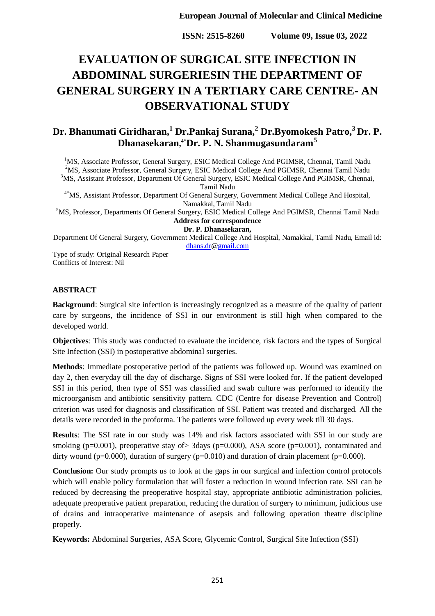**ISSN: 2515-8260 Volume 09, Issue 03, 2022**

# **EVALUATION OF SURGICAL SITE INFECTION IN ABDOMINAL SURGERIESIN THE DEPARTMENT OF GENERAL SURGERY IN A TERTIARY CARE CENTRE- AN OBSERVATIONAL STUDY**

# **Dr. Bhanumati Giridharan,<sup>1</sup> Dr.Pankaj Surana,<sup>2</sup> Dr.Byomokesh Patro,<sup>3</sup>[Dr. P.](http://dr.p.dhanasekaran/)  [Dhanasekaran](http://dr.p.dhanasekaran/), 4\*Dr. P. N. Shanmugasundaram<sup>5</sup>**

<sup>1</sup>MS, Associate Professor, General Surgery, ESIC Medical College And PGIMSR, Chennai, Tamil Nadu <sup>2</sup>MS, Associate Professor, General Surgery, ESIC Medical College And PGIMSR, Chennai Tamil Nadu  $3$ MS, Assistant Professor, Department Of General Surgery, ESIC Medical College And PGIMSR, Chennai, Tamil Nadu 4\*MS, Assistant Professor, Department Of General Surgery, Government Medical College And Hospital, Namakkal, Tamil Nadu <sup>5</sup>MS, Professor, Departments Of General Surgery, ESIC Medical College And PGIMSR, Chennai Tamil Nadu **Address for correspondence [Dr. P. Dhanasekaran,](http://dr.p.dhanasekaran/)**

Department Of General Surgery, Government Medical College And Hospital, Namakkal, Tamil Nadu, Email id: [dhans.dr](http://dhans.dr/)[@gmail.com](http://gmail.com/)

Type of study: Original Research Paper Conflicts of Interest: Nil

#### **ABSTRACT**

**Background**: Surgical site infection is increasingly recognized as a measure of the quality of patient care by surgeons, the incidence of SSI in our environment is still high when compared to the developed world.

**Objectives**: This study was conducted to evaluate the incidence, risk factors and the types of Surgical Site Infection (SSI) in postoperative abdominal surgeries.

**Methods**: Immediate postoperative period of the patients was followed up. Wound was examined on day 2, then everyday till the day of discharge. Signs of SSI were looked for. If the patient developed SSI in this period, then type of SSI was classified and swab culture was performed to identify the microorganism and antibiotic sensitivity pattern. CDC (Centre for disease Prevention and Control) criterion was used for diagnosis and classification of SSI. Patient was treated and discharged. All the details were recorded in the proforma. The patients were followed up every week till 30 days.

**Results**: The SSI rate in our study was 14% and risk factors associated with SSI in our study are smoking (p=0.001), preoperative stay of  $>$  3days (p=0.000), ASA score (p=0.001), contaminated and dirty wound ( $p=0.000$ ), duration of surgery ( $p=0.010$ ) and duration of drain placement ( $p=0.000$ ).

**Conclusion:** Our study prompts us to look at the gaps in our surgical and infection control protocols which will enable policy formulation that will foster a reduction in wound infection rate. SSI can be reduced by decreasing the preoperative hospital stay, appropriate antibiotic administration policies, adequate preoperative patient preparation, reducing the duration of surgery to minimum, judicious use of drains and intraoperative maintenance of asepsis and following operation theatre discipline properly.

**Keywords:** Abdominal Surgeries, ASA Score, Glycemic Control, Surgical Site Infection (SSI)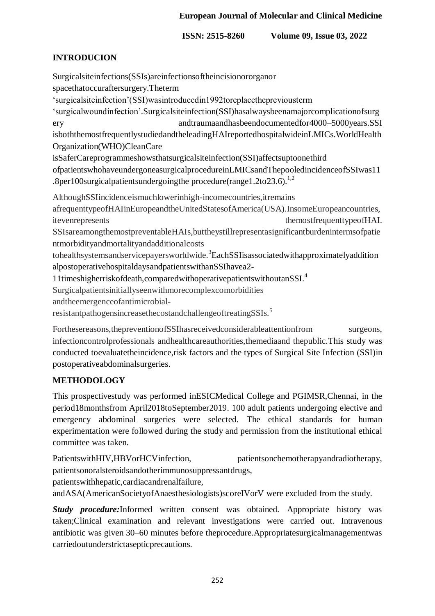**ISSN: 2515-8260 Volume 09, Issue 03, 2022**

### **INTRODUCION**

Surgicalsiteinfections(SSIs)areinfectionsoftheincisionororganor spacethatoccuraftersurgery.Theterm 'surgicalsiteinfection'(SSI)wasintroducedin1992toreplacethepreviousterm 'surgicalwoundinfection'.Surgicalsiteinfection(SSI)hasalwaysbeenamajorcomplicationofsurg ery andtraumaandhasbeendocumentedfor4000–5000years.SSI isboththemostfrequentlystudiedandtheleadingHAIreportedhospitalwideinLMICs.WorldHealth Organization(WHO)CleanCare isSaferCareprogrammeshowsthatsurgicalsiteinfection(SSI)affectsuptoonethird ofpatientswhohaveundergoneasurgicalprocedureinLMICsandThepooledincidenceofSSIwas11 .8per100surgicalpatientsundergoing the procedure (range 1.2to 23.6).<sup>1,2</sup> AlthoughSSIincidenceismuchlowerinhigh-incomecountries,itremains afrequenttypeofHAIinEuropeandtheUnitedStatesofAmerica(USA).InsomeEuropeancountries, itevenrepresents themostfrequenttypeofHAI. SSIsareamongthemostpreventableHAIs,buttheystillrepresentasignificantburdenintermsofpatie ntmorbidityandmortalityandadditionalcosts tohealthsystemsandservicepayersworldwide.<sup>3</sup>EachSSIisassociatedwithapproximatelyaddition alpostoperativehospitaldaysandpatientswithanSSIhavea2- 11timeshigherriskofdeath,comparedwithoperativepatientswithoutanSSI. 4 Surgicalpatientsinitiallyseenwithmorecomplexcomorbidities andtheemergenceofantimicrobialresistantpathogensincreasethecostandchallengeoftreatingSSIs.<sup>5</sup>

Forthesereasons,thepreventionofSSIhasreceivedconsiderableattentionfrom surgeons, infectioncontrolprofessionals andhealthcareauthorities,themediaand thepublic.This study was conducted toevaluatetheincidence,risk factors and the types of Surgical Site Infection (SSI)in postoperativeabdominalsurgeries.

### **METHODOLOGY**

This prospectivestudy was performed inESICMedical College and PGIMSR,Chennai, in the period18monthsfrom April2018toSeptember2019. 100 adult patients undergoing elective and emergency abdominal surgeries were selected. The ethical standards for human experimentation were followed during the study and permission from the institutional ethical committee was taken.

PatientswithHIV,HBVorHCVinfection, patientsonchemotherapyandradiotherapy, patientsonoralsteroidsandotherimmunosuppressantdrugs,

patientswithhepatic,cardiacandrenalfailure,

andASA(AmericanSocietyofAnaesthesiologists)scoreIVorV were excluded from the study.

*Study procedure:*Informed written consent was obtained. Appropriate history was taken;Clinical examination and relevant investigations were carried out. Intravenous antibiotic was given 30–60 minutes before theprocedure.Appropriatesurgicalmanagementwas carriedoutunderstrictasepticprecautions.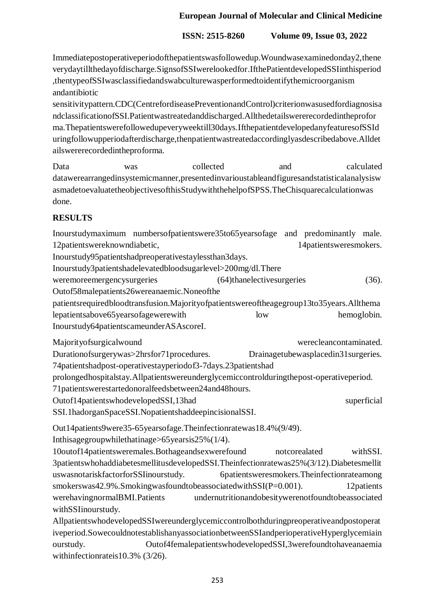# **ISSN: 2515-8260 Volume 09, Issue 03, 2022**

Immediatepostoperativeperiodofthepatientswasfollowedup.Woundwasexaminedonday2,thene verydaytillthedayofdischarge.SignsofSSIwerelookedfor.IfthePatientdevelopedSSIinthisperiod ,thentypeofSSIwasclassifiedandswabculturewasperformedtoidentifythemicroorganism andantibiotic

sensitivitypattern.CDC(CentrefordiseasePreventionandControl)criterionwasusedfordiagnosisa ndclassificationofSSI.Patientwastreatedanddischarged.Allthedetailswererecordedintheprofor ma.Thepatientswerefollowedupeveryweektill30days.IfthepatientdevelopedanyfeaturesofSSId uringfollowupperiodafterdischarge,thenpatientwastreatedaccordinglyasdescribedabove.Alldet ailswererecordedintheproforma.

Data was collected and calculated datawerearrangedinsystemicmanner,presentedinvarioustableandfiguresandstatisticalanalysisw asmadetoevaluatetheobjectivesofthisStudywiththehelpofSPSS.TheChisquarecalculationwas done.

# **RESULTS**

Inourstudymaximum numbersofpatientswere35to65yearsofage and predominantly male. 12patientswereknowndiabetic, 14patientsweresmokers. Inourstudy95patientshadpreoperativestaylessthan3days. Inourstudy3patientshadelevatedbloodsugarlevel>200mg/dl.There weremoreemergencysurgeries (64)thanelectivesurgeries (36). Outof58malepatients26wereanaemic.Noneofthe patientsrequiredbloodtransfusion.Majorityofpatientswereoftheagegroup13to35years.Allthema lepatientsabove65yearsofagewerewith low hemoglobin. Inourstudy64patientscameunderASAscoreI.

Majorityofsurgicalwound werecleancontaminated. Durationofsurgerywas>2hrsfor71procedures. Drainagetubewasplacedin31surgeries. 74patientshadpost-operativestayperiodof3-7days.23patientshad prolongedhospitalstay.Allpatientswereunderglycemiccontrolduringthepost-operativeperiod. 71patientswerestartedonoralfeedsbetween24and48hours. Outof14patientswhodevelopedSSI,13had superficial superficial SSI.1hadorganSpaceSSI.NopatientshaddeepincisionalSSI.

Out14patients9were35-65yearsofage.Theinfectionratewas18.4%(9/49).

Inthisagegroupwhilethatinage>65yearsis25%(1/4).

10outof14patientsweremales.Bothageandsexwerefound notcorealated withSSI. 3patientswhohaddiabetesmellitusdevelopedSSI.Theinfectionratewas25%(3/12).Diabetesmellit uswasnotariskfactorforSSIinourstudy. 6patientsweresmokers.Theinfectionrateamong smokerswas42.9%.SmokingwasfoundtobeassociatedwithSSI(P=0.001). 12patients werehavingnormalBMI.Patients undernutritionandobesitywerenotfoundtobeassociated withSSIinourstudy.

AllpatientswhodevelopedSSIwereunderglycemiccontrolbothduringpreoperativeandpostoperat iveperiod.SowecouldnotestablishanyassociationbetweenSSIandperioperativeHyperglycemiain ourstudy. Outof4femalepatientswhodevelopedSSI,3werefoundtohaveanaemia withinfectionrateis10.3% (3/26).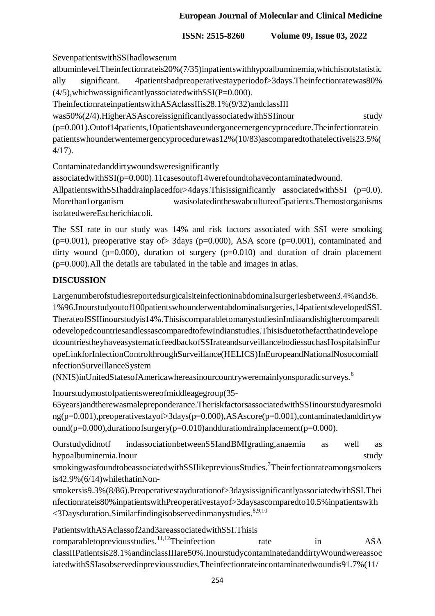**ISSN: 2515-8260 Volume 09, Issue 03, 2022**

SevenpatientswithSSIhadlowserum

albuminlevel.Theinfectionrateis20%(7/35)inpatientswithhypoalbuminemia,whichisnotstatistic ally significant. 4patientshadpreoperativestayperiodof>3days.Theinfectionratewas80%  $(4/5)$ , which was significantly associated with  $SSI(P=0.000)$ .

TheinfectionrateinpatientswithASAclassIIis28.1%(9/32)andclassIII

was50%(2/4).HigherASAscoreissignificantlyassociatedwithSSIinour study (p=0.001).Outof14patients,10patientshaveundergoneemergencyprocedure.Theinfectionratein

patientswhounderwentemergencyprocedurewas12%(10/83)ascomparedtothatelectiveis23.5%( 4/17).

Contaminatedanddirtywoundsweresignificantly

associatedwithSSI(p=0.000).11casesoutof14werefoundtohavecontaminatedwound.

AllpatientswithSSIhaddrainplacedfor>4days.Thisissignificantly associatedwithSSI (p=0.0). Morethan1organism wasisolatedintheswabcultureof5patients.Themostorganisms isolatedwereEscherichiacoli.

The SSI rate in our study was 14% and risk factors associated with SSI were smoking ( $p=0.001$ ), preoperative stay of 3days ( $p=0.000$ ), ASA score ( $p=0.001$ ), contaminated and dirty wound ( $p=0.000$ ), duration of surgery ( $p=0.010$ ) and duration of drain placement (p=0.000).All the details are tabulated in the table and images in atlas.

# **DISCUSSION**

Largenumberofstudiesreportedsurgicalsiteinfectioninabdominalsurgeriesbetween3.4%and36. 1%96.Inourstudyoutof100patientswhounderwentabdominalsurgeries,14patientsdevelopedSSI. TherateofSSIIinourstudyis14%.ThisiscomparabletomanystudiesinIndiaandishighercomparedt odevelopedcountriesandlessascomparedtofewIndianstudies.Thisisduetothefactthatindevelope dcountriestheyhaveasystematicfeedbackofSSIrateandsurveillancebodiessuchasHospitalsinEur opeLinkforInfectionControlthroughSurveillance(HELICS)InEuropeandNationalNosocomialI nfectionSurveillanceSystem

(NNIS)inUnitedStatesofAmericawhereasinourcountryweremainlyonsporadicsurveys.<sup>6</sup>

Inourstudymostofpatientswereofmiddleagegroup(35-

65years)andtherewasmalepreponderance.TheriskfactorsassociatedwithSSIinourstudyaresmoki ng(p=0.001),preoperativestayof>3days(p=0.000),ASAscore(p=0.001),contaminatedanddirtyw ound( $p=0.000$ ),durationofsurgery( $p=0.010$ )anddurationdrainplacement( $p=0.000$ ).

Ourstudydidnotf indassociationbetweenSSIandBMIgrading,anaemia as well as hypoalbuminemia.Inour study study and the study study study study study study study study study study study study

smokingwasfoundtobeassociatedwithSSIlikepreviousStudies.<sup>7</sup>Theinfectionrateamongsmokers is42.9%(6/14)whilethatinNon-

smokersis9.3%(8/86).Preoperativestaydurationof>3daysissignificantlyassociatedwithSSI.Thei nfectionrateis80%inpatientswithPreoperativestayof>3daysascomparedto10.5%inpatientswith  $<$ 3Daysduration.Similarfindingisobservedinmanystudies.<sup>8,9,10</sup>

PatientswithASAclassof2and3areassociatedwithSSI.Thisis comparabletopreviousstudies.<sup>11,12</sup>Theinfection rate in ASA classIIPatientsis28.1%andinclassIIIare50%.InourstudycontaminatedanddirtyWoundwereassoc iatedwithSSIasobservedinpreviousstudies.Theinfectionrateincontaminatedwoundis91.7%(11/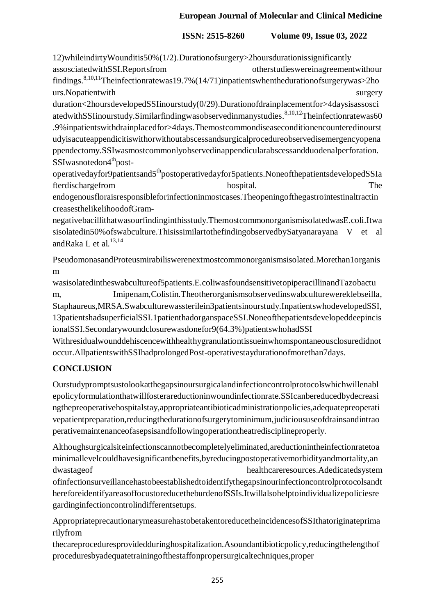# **ISSN: 2515-8260 Volume 09, Issue 03, 2022**

12)whileindirtyWounditis50%(1/2).Durationofsurgery>2hoursdurationissignificantly assosciatedwithSSI.Reportsfrom otherstudieswereinagreementwithour findings.<sup>8,10,11</sup>Theinfectionratewas19.7%(14/71)inpatientswhenthedurationofsurgerywas>2ho urs. No patient with surgery

duration<2hoursdevelopedSSIinourstudy(0/29).Durationofdrainplacementfor>4daysisassosci atedwithSSIinourstudy.Similarfindingwasobservedinmanystudies.<sup>8,10,12</sup>Theinfectionratewas60 .9%inpatientswithdrainplacedfor>4days.Themostcommondiseaseconditionencounteredinourst udyisacuteappendicitiswithorwithoutabscessandsurgicalprocedureobservedisemergencyopena ppendectomy.SSIwasmostcommonlyobservedinappendicularabscessandduodenalperforation. SSIwasnotedon4<sup>th</sup>post-

operativedayfor9patientsand5<sup>th</sup>postoperativedayfor5patients.NoneofthepatientsdevelopedSSIa fterdischargefrom hospital. The hospital.

endogenousfloraisresponsibleforinfectioninmostcases.Theopeningofthegastrointestinaltractin creasesthelikelihoodofGram-

negativebacillithatwasourfindinginthisstudy.ThemostcommonorganismisolatedwasE.coli.Itwa sisolatedin50%ofswabculture.ThisissimilartothefindingobservedbySatyanarayana V et al andRaka L et al.<sup>13,14</sup>

PseudomonasandProteusmirabiliswerenextmostcommonorganismsisolated.Morethan1organis m

wasisolatedintheswabcultureof5patients.E.coliwasfoundsensitivetopiperacillinandTazobactu m, Imipenam,Colistin.Theotherorganismsobservedinswabculturewereklebseilla, Staphaureus,MRSA.Swabculturewassterilein3patientsinourstudy.InpatientswhodevelopedSSI, 13patientshadsuperficialSSI.1patienthadorganspaceSSI.Noneofthepatientsdevelopeddeepincis ionalSSI.Secondarywoundclosurewasdonefor9(64.3%)patientswhohadSSI

Withresidualwounddehiscencewithhealthygranulationtissueinwhomspontaneousclosuredidnot occur.AllpatientswithSSIhadprolongedPost-operativestaydurationofmorethan7days.

# **CONCLUSION**

Ourstudypromptsustolookatthegapsinoursurgicalandinfectioncontrolprotocolswhichwillenabl epolicyformulationthatwillfosterareductioninwoundinfectionrate.SSIcanbereducedbydecreasi ngthepreoperativehospitalstay,appropriateantibioticadministrationpolicies,adequatepreoperati vepatientpreparation,reducingthedurationofsurgerytominimum,judicioususeofdrainsandintrao perativemaintenanceofasepsisandfollowingoperationtheatredisciplineproperly.

Althoughsurgicalsiteinfectionscannotbecompletelyeliminated,areductionintheinfectionratetoa minimallevelcouldhavesignificantbenefits,byreducingpostoperativemorbidityandmortality,an dwastageof healthcareresources.Adedicatedsystem ofinfectionsurveillancehastobeestablishedtoidentifythegapsinourinfectioncontrolprotocolsandt hereforeidentifyareasoffocustoreducetheburdenofSSIs.Itwillalsohelptoindividualizepoliciesre gardinginfectioncontrolindifferentsetups.

AppropriateprecautionarymeasurehastobetakentoreducetheincidencesofSSIthatoriginateprima rilyfrom

thecareproceduresprovidedduringhospitalization.Asoundantibioticpolicy,reducingthelengthof proceduresbyadequatetrainingofthestaffonpropersurgicaltechniques,proper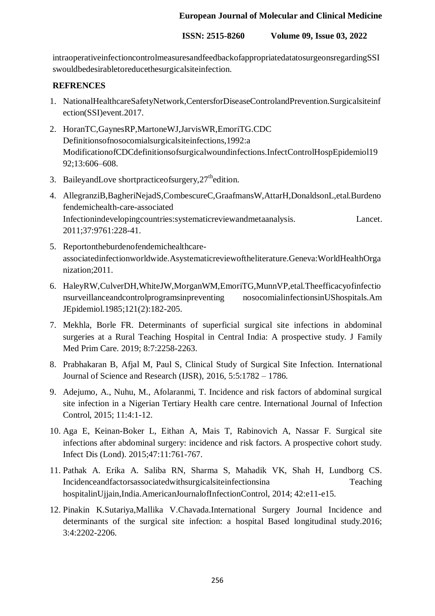**ISSN: 2515-8260 Volume 09, Issue 03, 2022**

intraoperativeinfectioncontrolmeasuresandfeedbackofappropriatedatatosurgeonsregardingSSI swouldbedesirabletoreducethesurgicalsiteinfection.

### **REFRENCES**

- 1. NationalHealthcareSafetyNetwork,CentersforDiseaseControlandPrevention.Surgicalsiteinf ection(SSI)event.2017.
- 2. HoranTC,GaynesRP,MartoneWJ,JarvisWR,EmoriTG.CDC Definitionsofnosocomialsurgicalsiteinfections,1992:a ModificationofCDCdefinitionsofsurgicalwoundinfections.InfectControlHospEpidemiol19 92;13:606–608.
- 3. BaileyandLove shortpractice of surgery,  $27<sup>th</sup>$ edition.
- 4. AllegranziB,BagheriNejadS,CombescureC,GraafmansW,AttarH,DonaldsonL,etal.Burdeno fendemichealth-care-associated Infectionindevelopingcountries:systematicreviewandmetaanalysis. Lancet. 2011;37:9761:228-41.
- 5. Reportontheburdenofendemichealthcareassociatedinfectionworldwide.Asystematicreviewoftheliterature.Geneva:WorldHealthOrga nization;2011.
- 6. HaleyRW,CulverDH,WhiteJW,MorganWM,EmoriTG,MunnVP,etal.Theefficacyofinfectio nsurveillanceandcontrolprogramsinpreventing nosocomialinfectionsinUShospitals.Am JEpidemiol.1985;121(2):182-205.
- 7. Mekhla, Borle FR. Determinants of superficial surgical site infections in abdominal surgeries at a Rural Teaching Hospital in Central India: A prospective study. J Family Med Prim Care. 2019; 8:7:2258-2263.
- 8. Prabhakaran B, Afjal M, Paul S, Clinical Study of Surgical Site Infection. International Journal of Science and Research (IJSR), 2016, 5:5:1782 – 1786.
- 9. Adejumo, A., Nuhu, M., Afolaranmi, T. Incidence and risk factors of abdominal surgical site infection in a Nigerian Tertiary Health care centre. International Journal of Infection Control, 2015; 11:4:1-12.
- 10. Aga E, Keinan-Boker L, Eithan A, Mais T, Rabinovich A, Nassar F. Surgical site infections after abdominal surgery: incidence and risk factors. A prospective cohort study. Infect Dis (Lond). 2015;47:11:761-767.
- 11. Pathak A. Erika A. Saliba RN, Sharma S, Mahadik VK, Shah H, Lundborg CS. Incidenceandfactorsassociatedwithsurgicalsiteinfectionsina Teaching hospitalinUjjain,India.AmericanJournalofInfectionControl, 2014; 42:e11-e15.
- 12. Pinakin K.Sutariya,Mallika V.Chavada.International Surgery Journal Incidence and determinants of the surgical site infection: a hospital Based longitudinal study.2016; 3:4:2202-2206.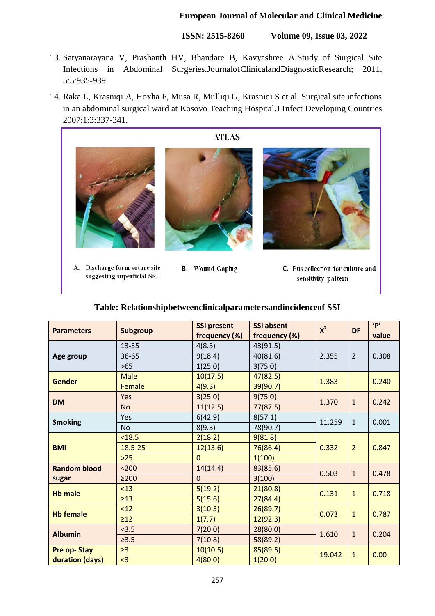**ISSN: 2515-8260 Volume 09, Issue 03, 2022**

- 13. Satyanarayana V, Prashanth HV, Bhandare B, Kavyashree A.Study of Surgical Site Infections in Abdominal Surgeries.JournalofClinicalandDiagnosticResearch; 2011, 5:5:935-939.
- 14. Raka L, Krasniqi A, Hoxha F, Musa R, Mulliqi G, Krasniqi S et al. Surgical site infections in an abdominal surgical ward at Kosovo Teaching Hospital.J Infect Developing Countries 2007;1:3:337-341.



- A. Discharge form suture site suggesting superficial SSI
- **B.** Wound Gaping
- C. Pus collection for culture and sensitivity pattern

#### **Table: Relationshipbetweenclinicalparametersandincidenceof SSI**

| <b>Parameters</b>                     | Subgroup    | <b>SSI present</b><br>frequency (%) | <b>SSI absent</b><br>frequency (%) | $X^2$  | <b>DF</b>      | 'P'<br>value |
|---------------------------------------|-------------|-------------------------------------|------------------------------------|--------|----------------|--------------|
| Age group                             | 13-35       | 4(8.5)                              | 43(91.5)                           | 2.355  | $\overline{2}$ |              |
|                                       | 36-65       | 9(18.4)                             | 40(81.6)                           |        |                | 0.308        |
|                                       | $>65$       | 1(25.0)                             | 3(75.0)                            |        |                |              |
| <b>Gender</b>                         | <b>Male</b> | 10(17.5)                            | 47(82.5)                           | 1.383  |                | 0.240        |
|                                       | Female      | 4(9.3)                              | 39(90.7)                           |        |                |              |
| <b>DM</b>                             | Yes         | 3(25.0)                             | 9(75.0)                            | 1.370  | $\mathbf{1}$   | 0.242        |
|                                       | <b>No</b>   | 11(12.5)                            | 77(87.5)                           |        |                |              |
| <b>Smoking</b>                        | Yes         | 6(42.9)                             | 8(57.1)                            | 11.259 | $\mathbf{1}$   | 0.001        |
|                                       | <b>No</b>   | 8(9.3)                              | 78(90.7)                           |        |                |              |
| <b>BMI</b>                            | < 18.5      | 2(18.2)                             | 9(81.8)                            | 0.332  | $\overline{2}$ | 0.847        |
|                                       | 18.5-25     | 12(13.6)                            | 76(86.4)                           |        |                |              |
|                                       | $>25$       | $\Omega$                            | 1(100)                             |        |                |              |
| <b>Random blood</b>                   | $200$       | 14(14.4)                            | 83(85.6)                           | 0.503  | $\mathbf{1}$   | 0.478        |
| sugar                                 | $\geq$ 200  | $\mathbf{0}$                        | 3(100)                             |        |                |              |
| <b>Hb male</b>                        | < 13        | 5(19.2)                             | 21(80.8)                           | 0.131  | $\mathbf{1}$   | 0.718        |
|                                       | $\geq$ 13   | 5(15.6)                             | 27(84.4)                           |        |                |              |
| <b>Hb female</b>                      | < 12        | 3(10.3)                             | 26(89.7)                           | 0.073  | $\mathbf{1}$   | 0.787        |
|                                       | $\geq$ 12   | 1(7.7)                              | 12(92.3)                           |        |                |              |
| <b>Albumin</b>                        | < 3.5       | 7(20.0)                             | 28(80.0)                           | 1.610  | $\mathbf{1}$   | 0.204        |
|                                       | $\geq 3.5$  | 7(10.8)                             | 58(89.2)                           |        |                |              |
| <b>Pre op-Stay</b><br>duration (days) | $\geq$ 3    | 10(10.5)                            | 85(89.5)                           | 19.042 | $\mathbf{1}$   | 0.00         |
|                                       | <3          | 4(80.0)                             | 1(20.0)                            |        |                |              |